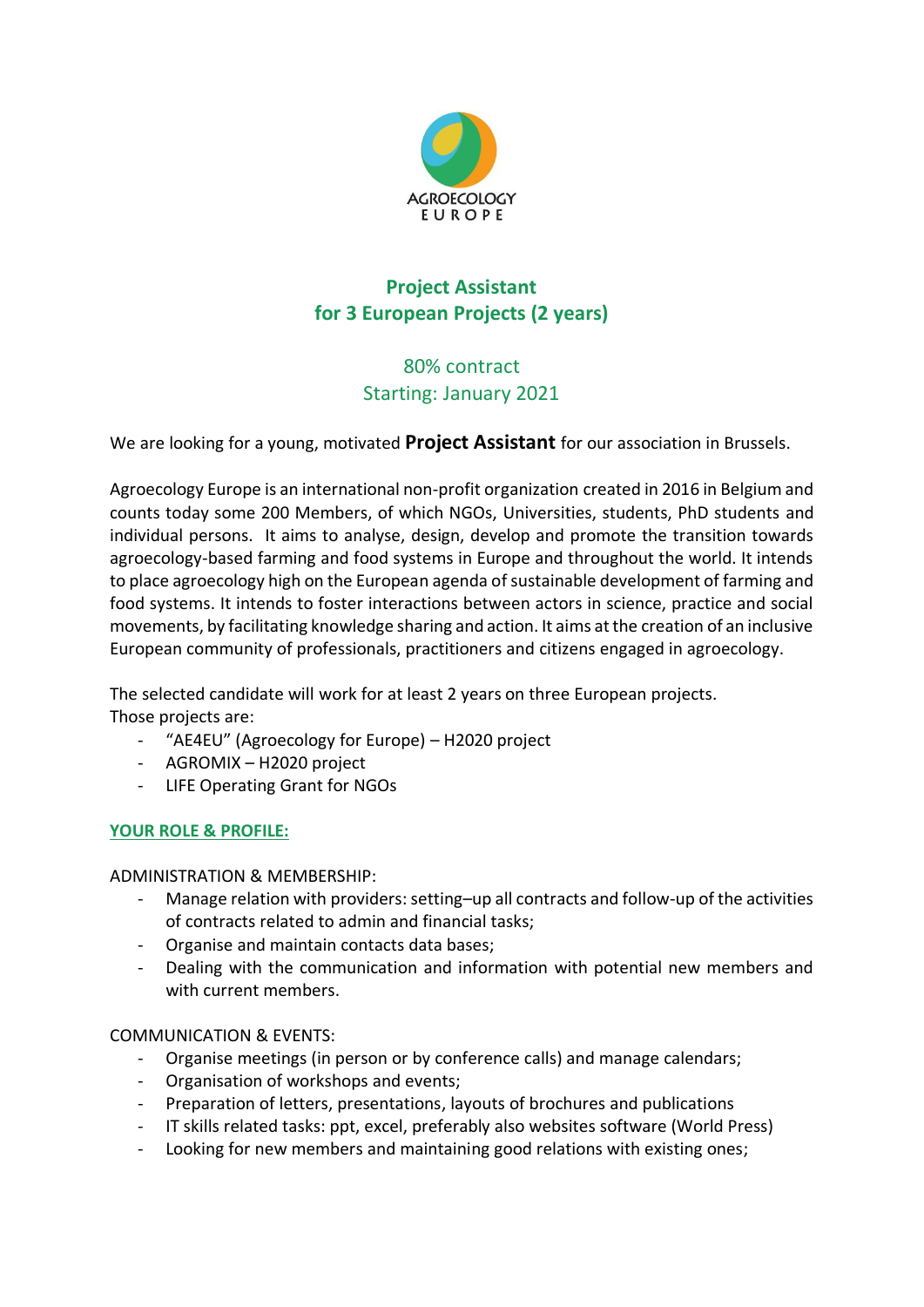

# **Project Assistant for 3 European Projects (2 years)**

## 80% contract Starting: January 2021

We are looking for a young, motivated **Project Assistant** for our association in Brussels.

Agroecology Europe is an international non-profit organization created in 2016 in Belgium and counts today some 200 Members, of which NGOs, Universities, students, PhD students and individual persons. It aims to analyse, design, develop and promote the transition towards agroecology-based farming and food systems in Europe and throughout the world. It intends to place agroecology high on the European agenda of sustainable development of farming and food systems. It intends to foster interactions between actors in science, practice and social movements, by facilitating knowledge sharing and action. It aims at the creation of an inclusive European community of professionals, practitioners and citizens engaged in agroecology.

The selected candidate will work for at least 2 years on three European projects. Those projects are:

- "AE4EU" (Agroecology for Europe) H2020 project
- AGROMIX H2020 project
- LIFE Operating Grant for NGOs

## **YOUR ROLE & PROFILE:**

ADMINISTRATION & MEMBERSHIP:

- Manage relation with providers: setting–up all contracts and follow-up of the activities of contracts related to admin and financial tasks;
- Organise and maintain contacts data bases;
- Dealing with the communication and information with potential new members and with current members.

COMMUNICATION & EVENTS:

- Organise meetings (in person or by conference calls) and manage calendars;
- Organisation of workshops and events;
- Preparation of letters, presentations, layouts of brochures and publications
- IT skills related tasks: ppt, excel, preferably also websites software (World Press)
- Looking for new members and maintaining good relations with existing ones;